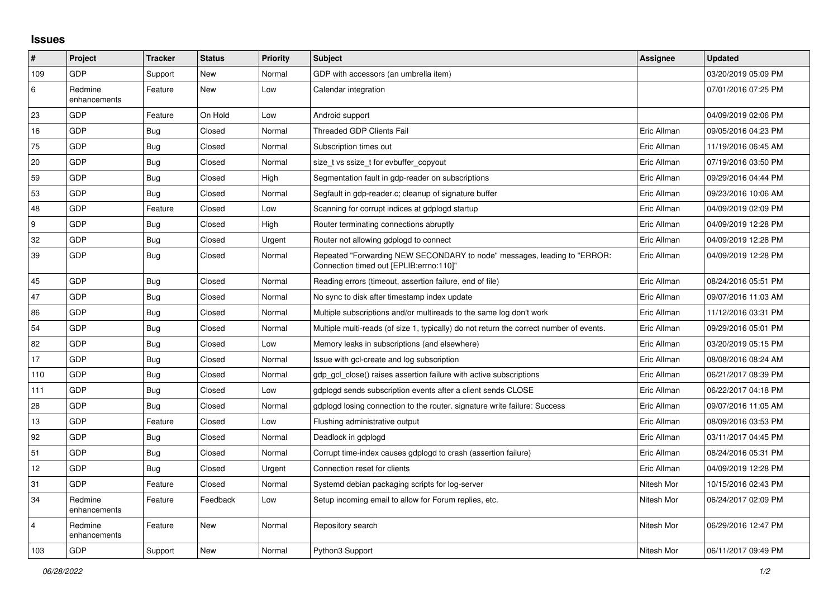## **Issues**

| $\vert$ #        | Project                 | <b>Tracker</b> | <b>Status</b> | <b>Priority</b> | <b>Subject</b>                                                                                                      | <b>Assignee</b> | <b>Updated</b>      |
|------------------|-------------------------|----------------|---------------|-----------------|---------------------------------------------------------------------------------------------------------------------|-----------------|---------------------|
| 109              | GDP                     | Support        | New           | Normal          | GDP with accessors (an umbrella item)                                                                               |                 | 03/20/2019 05:09 PM |
| 6                | Redmine<br>enhancements | Feature        | <b>New</b>    | Low             | Calendar integration                                                                                                |                 | 07/01/2016 07:25 PM |
| 23               | GDP                     | Feature        | On Hold       | Low             | Android support                                                                                                     |                 | 04/09/2019 02:06 PM |
| 16               | GDP                     | Bug            | Closed        | Normal          | <b>Threaded GDP Clients Fail</b>                                                                                    | Eric Allman     | 09/05/2016 04:23 PM |
| 75               | GDP                     | Bug            | Closed        | Normal          | Subscription times out                                                                                              | Eric Allman     | 11/19/2016 06:45 AM |
| 20               | GDP                     | Bug            | Closed        | Normal          | size t vs ssize t for evbuffer copyout                                                                              | Eric Allman     | 07/19/2016 03:50 PM |
| 59               | GDP                     | <b>Bug</b>     | Closed        | High            | Segmentation fault in gdp-reader on subscriptions                                                                   | Eric Allman     | 09/29/2016 04:44 PM |
| 53               | GDP                     | Bug            | Closed        | Normal          | Segfault in gdp-reader.c; cleanup of signature buffer                                                               | Eric Allman     | 09/23/2016 10:06 AM |
| 48               | <b>GDP</b>              | Feature        | Closed        | Low             | Scanning for corrupt indices at gdplogd startup                                                                     | Eric Allman     | 04/09/2019 02:09 PM |
| $\boldsymbol{9}$ | GDP                     | <b>Bug</b>     | Closed        | High            | Router terminating connections abruptly                                                                             | Eric Allman     | 04/09/2019 12:28 PM |
| 32               | GDP                     | Bug            | Closed        | Urgent          | Router not allowing gdplogd to connect                                                                              | Eric Allman     | 04/09/2019 12:28 PM |
| 39               | <b>GDP</b>              | <b>Bug</b>     | Closed        | Normal          | Repeated "Forwarding NEW SECONDARY to node" messages, leading to "ERROR:<br>Connection timed out [EPLIB:errno:110]" | Eric Allman     | 04/09/2019 12:28 PM |
| 45               | GDP                     | Bug            | Closed        | Normal          | Reading errors (timeout, assertion failure, end of file)                                                            | Eric Allman     | 08/24/2016 05:51 PM |
| 47               | GDP                     | <b>Bug</b>     | Closed        | Normal          | No sync to disk after timestamp index update                                                                        | Eric Allman     | 09/07/2016 11:03 AM |
| 86               | GDP                     | <b>Bug</b>     | Closed        | Normal          | Multiple subscriptions and/or multireads to the same log don't work                                                 | Eric Allman     | 11/12/2016 03:31 PM |
| 54               | GDP                     | <b>Bug</b>     | Closed        | Normal          | Multiple multi-reads (of size 1, typically) do not return the correct number of events.                             | Eric Allman     | 09/29/2016 05:01 PM |
| 82               | <b>GDP</b>              | Bug            | Closed        | Low             | Memory leaks in subscriptions (and elsewhere)                                                                       | Eric Allman     | 03/20/2019 05:15 PM |
| 17               | GDP                     | Bug            | Closed        | Normal          | Issue with gcl-create and log subscription                                                                          | Eric Allman     | 08/08/2016 08:24 AM |
| 110              | GDP                     | Bug            | Closed        | Normal          | gdp gcl close() raises assertion failure with active subscriptions                                                  | Eric Allman     | 06/21/2017 08:39 PM |
| 111              | <b>GDP</b>              | Bug            | Closed        | Low             | gdplogd sends subscription events after a client sends CLOSE                                                        | Eric Allman     | 06/22/2017 04:18 PM |
| 28               | GDP                     | Bug            | Closed        | Normal          | gdplogd losing connection to the router, signature write failure: Success                                           | Eric Allman     | 09/07/2016 11:05 AM |
| 13               | GDP                     | Feature        | Closed        | Low             | Flushing administrative output                                                                                      | Eric Allman     | 08/09/2016 03:53 PM |
| 92               | GDP                     | Bug            | Closed        | Normal          | Deadlock in gdplogd                                                                                                 | Eric Allman     | 03/11/2017 04:45 PM |
| 51               | <b>GDP</b>              | Bug            | Closed        | Normal          | Corrupt time-index causes gdplogd to crash (assertion failure)                                                      | Eric Allman     | 08/24/2016 05:31 PM |
| 12               | GDP                     | <b>Bug</b>     | Closed        | Urgent          | Connection reset for clients                                                                                        | Eric Allman     | 04/09/2019 12:28 PM |
| 31               | GDP                     | Feature        | Closed        | Normal          | Systemd debian packaging scripts for log-server                                                                     | Nitesh Mor      | 10/15/2016 02:43 PM |
| 34               | Redmine<br>enhancements | Feature        | Feedback      | Low             | Setup incoming email to allow for Forum replies, etc.                                                               | Nitesh Mor      | 06/24/2017 02:09 PM |
| $\overline{4}$   | Redmine<br>enhancements | Feature        | New           | Normal          | Repository search                                                                                                   | Nitesh Mor      | 06/29/2016 12:47 PM |
| 103              | GDP                     | Support        | <b>New</b>    | Normal          | Python3 Support                                                                                                     | Nitesh Mor      | 06/11/2017 09:49 PM |